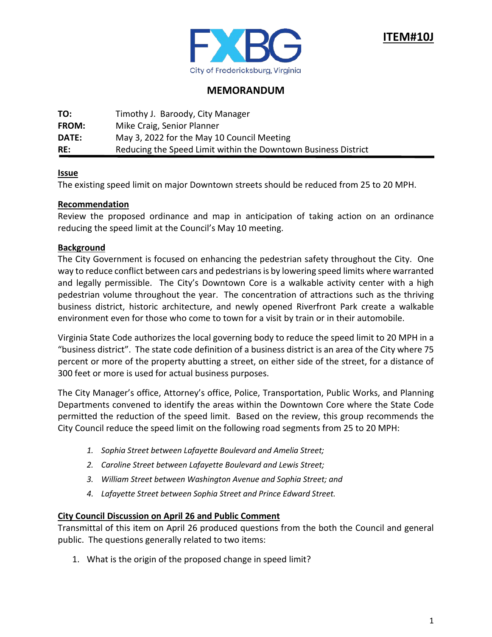

## **MEMORANDUM**

| TO:          | Timothy J. Baroody, City Manager                               |
|--------------|----------------------------------------------------------------|
| <b>FROM:</b> | Mike Craig, Senior Planner                                     |
| DATE:        | May 3, 2022 for the May 10 Council Meeting                     |
| RE:          | Reducing the Speed Limit within the Downtown Business District |

### **Issue**

The existing speed limit on major Downtown streets should be reduced from 25 to 20 MPH.

### **Recommendation**

Review the proposed ordinance and map in anticipation of taking action on an ordinance reducing the speed limit at the Council's May 10 meeting.

### **Background**

The City Government is focused on enhancing the pedestrian safety throughout the City. One way to reduce conflict between cars and pedestrians is by lowering speed limits where warranted and legally permissible. The City's Downtown Core is a walkable activity center with a high pedestrian volume throughout the year. The concentration of attractions such as the thriving business district, historic architecture, and newly opened Riverfront Park create a walkable environment even for those who come to town for a visit by train or in their automobile.

Virginia State Code authorizes the local governing body to reduce the speed limit to 20 MPH in a "business district". The state code definition of a business district is an area of the City where 75 percent or more of the property abutting a street, on either side of the street, for a distance of 300 feet or more is used for actual business purposes.

The City Manager's office, Attorney's office, Police, Transportation, Public Works, and Planning Departments convened to identify the areas within the Downtown Core where the State Code permitted the reduction of the speed limit. Based on the review, this group recommends the City Council reduce the speed limit on the following road segments from 25 to 20 MPH:

- *1. Sophia Street between Lafayette Boulevard and Amelia Street;*
- *2. Caroline Street between Lafayette Boulevard and Lewis Street;*
- *3. William Street between Washington Avenue and Sophia Street; and*
- *4. Lafayette Street between Sophia Street and Prince Edward Street.*

### **City Council Discussion on April 26 and Public Comment**

Transmittal of this item on April 26 produced questions from the both the Council and general public. The questions generally related to two items:

1. What is the origin of the proposed change in speed limit?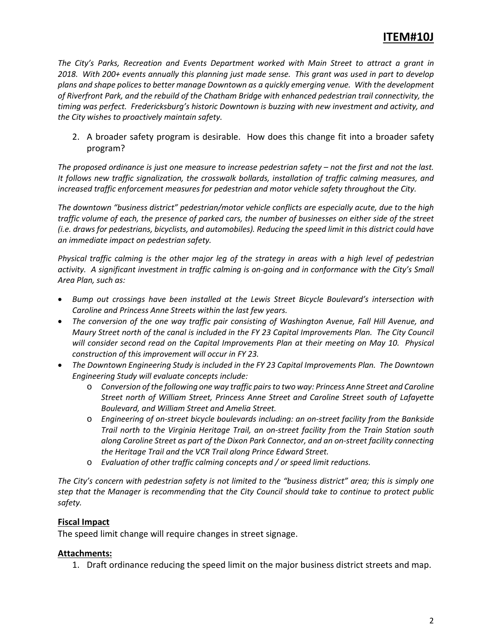## **ITEM#10J**

*The City's Parks, Recreation and Events Department worked with Main Street to attract a grant in 2018. With 200+ events annually this planning just made sense. This grant was used in part to develop plans and shape polices to better manage Downtown as a quickly emerging venue. With the development of Riverfront Park, and the rebuild of the Chatham Bridge with enhanced pedestrian trail connectivity, the timing was perfect. Fredericksburg's historic Downtown is buzzing with new investment and activity, and the City wishes to proactively maintain safety.*

2. A broader safety program is desirable. How does this change fit into a broader safety program?

*The proposed ordinance is just one measure to increase pedestrian safety – not the first and not the last. It follows new traffic signalization, the crosswalk bollards, installation of traffic calming measures, and increased traffic enforcement measures for pedestrian and motor vehicle safety throughout the City.*

*The downtown "business district" pedestrian/motor vehicle conflicts are especially acute, due to the high traffic volume of each, the presence of parked cars, the number of businesses on either side of the street (i.e. draws for pedestrians, bicyclists, and automobiles). Reducing the speed limit in this district could have an immediate impact on pedestrian safety.*

*Physical traffic calming is the other major leg of the strategy in areas with a high level of pedestrian activity. A significant investment in traffic calming is on-going and in conformance with the City's Small Area Plan, such as:*

- *Bump out crossings have been installed at the Lewis Street Bicycle Boulevard's intersection with Caroline and Princess Anne Streets within the last few years.*
- *The conversion of the one way traffic pair consisting of Washington Avenue, Fall Hill Avenue, and Maury Street north of the canal is included in the FY 23 Capital Improvements Plan. The City Council*  will consider second read on the Capital Improvements Plan at their meeting on May 10. Physical *construction of this improvement will occur in FY 23.*
- *The Downtown Engineering Study is included in the FY 23 Capital Improvements Plan. The Downtown Engineering Study will evaluate concepts include:*
	- o *Conversion of the following one way traffic pairs to two way: Princess Anne Street and Caroline Street north of William Street, Princess Anne Street and Caroline Street south of Lafayette Boulevard, and William Street and Amelia Street.*
	- o *Engineering of on-street bicycle boulevards including: an on-street facility from the Bankside Trail north to the Virginia Heritage Trail, an on-street facility from the Train Station south along Caroline Street as part of the Dixon Park Connector, and an on-street facility connecting the Heritage Trail and the VCR Trail along Prince Edward Street.*
	- o *Evaluation of other traffic calming concepts and / or speed limit reductions.*

*The City's concern with pedestrian safety is not limited to the "business district" area; this is simply one step that the Manager is recommending that the City Council should take to continue to protect public safety.*

## **Fiscal Impact**

The speed limit change will require changes in street signage.

## **Attachments:**

1. Draft ordinance reducing the speed limit on the major business district streets and map.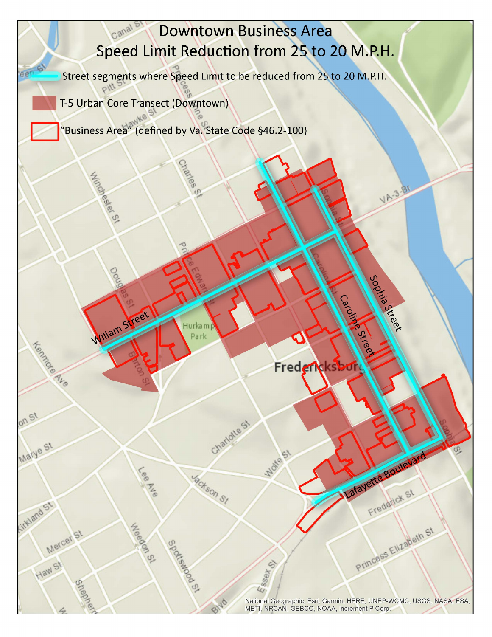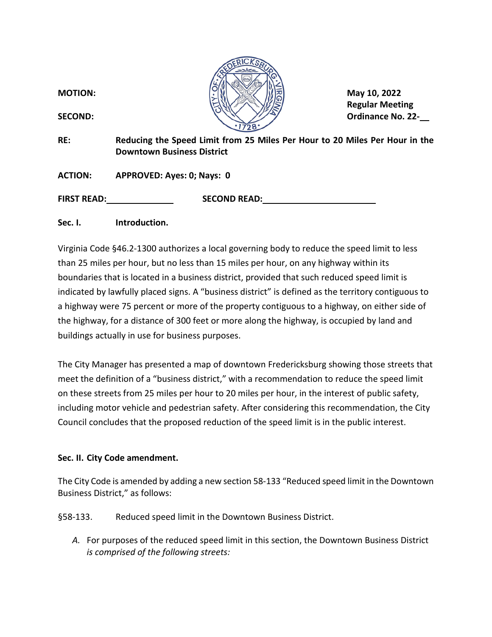

**Regular Meeting**

**RE: Reducing the Speed Limit from 25 Miles Per Hour to 20 Miles Per Hour in the Downtown Business District**

**ACTION: APPROVED: Ayes: 0; Nays: 0**

**FIRST READ: SECOND READ:**

**Sec. I. Introduction.**

Virginia Code §46.2-1300 authorizes a local governing body to reduce the speed limit to less than 25 miles per hour, but no less than 15 miles per hour, on any highway within its boundaries that is located in a business district, provided that such reduced speed limit is indicated by lawfully placed signs. A "business district" is defined as the territory contiguous to a highway were 75 percent or more of the property contiguous to a highway, on either side of the highway, for a distance of 300 feet or more along the highway, is occupied by land and buildings actually in use for business purposes.

The City Manager has presented a map of downtown Fredericksburg showing those streets that meet the definition of a "business district," with a recommendation to reduce the speed limit on these streets from 25 miles per hour to 20 miles per hour, in the interest of public safety, including motor vehicle and pedestrian safety. After considering this recommendation, the City Council concludes that the proposed reduction of the speed limit is in the public interest.

## **Sec. II. City Code amendment.**

The City Code is amended by adding a new section 58-133 "Reduced speed limit in the Downtown Business District," as follows:

§58-133. Reduced speed limit in the Downtown Business District.

*A.* For purposes of the reduced speed limit in this section, the Downtown Business District *is comprised of the following streets:*